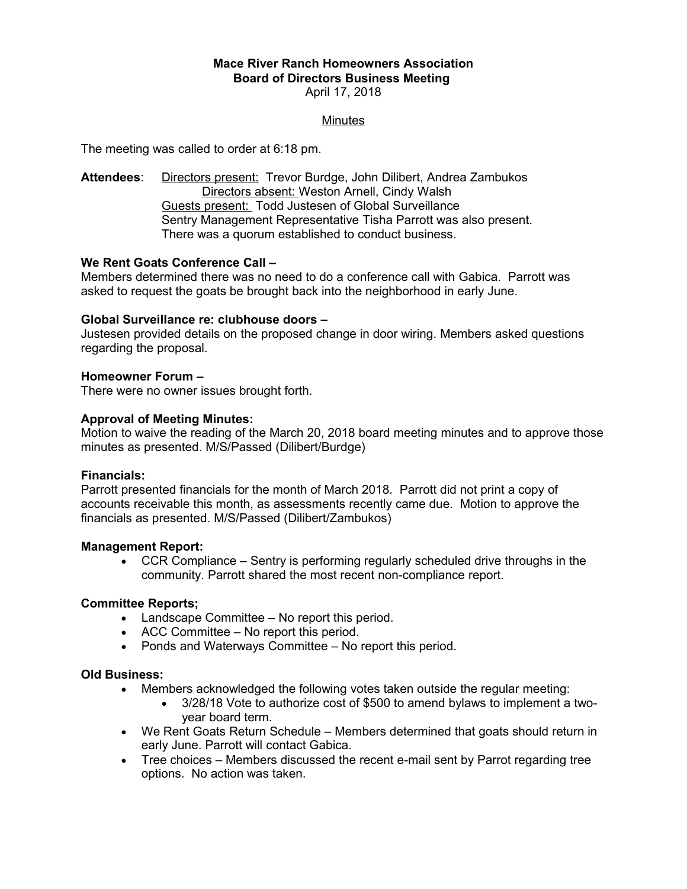### **Mace River Ranch Homeowners Association Board of Directors Business Meeting**  April 17, 2018

## **Minutes**

The meeting was called to order at 6:18 pm.

**Attendees**: Directors present: Trevor Burdge, John Dilibert, Andrea Zambukos Directors absent: Weston Arnell, Cindy Walsh Guests present: Todd Justesen of Global Surveillance Sentry Management Representative Tisha Parrott was also present. There was a quorum established to conduct business.

# **We Rent Goats Conference Call –**

Members determined there was no need to do a conference call with Gabica. Parrott was asked to request the goats be brought back into the neighborhood in early June.

### **Global Surveillance re: clubhouse doors –**

Justesen provided details on the proposed change in door wiring. Members asked questions regarding the proposal.

### **Homeowner Forum –**

There were no owner issues brought forth.

### **Approval of Meeting Minutes:**

Motion to waive the reading of the March 20, 2018 board meeting minutes and to approve those minutes as presented. M/S/Passed (Dilibert/Burdge)

### **Financials:**

Parrott presented financials for the month of March 2018. Parrott did not print a copy of accounts receivable this month, as assessments recently came due. Motion to approve the financials as presented. M/S/Passed (Dilibert/Zambukos)

### **Management Report:**

 CCR Compliance – Sentry is performing regularly scheduled drive throughs in the community. Parrott shared the most recent non-compliance report.

### **Committee Reports;**

- Landscape Committee No report this period.
- ACC Committee No report this period.
- Ponds and Waterways Committee No report this period.

### **Old Business:**

- Members acknowledged the following votes taken outside the regular meeting:
	- 3/28/18 Vote to authorize cost of \$500 to amend bylaws to implement a twoyear board term.
- We Rent Goats Return Schedule Members determined that goats should return in early June. Parrott will contact Gabica.
- Tree choices Members discussed the recent e-mail sent by Parrot regarding tree options. No action was taken.